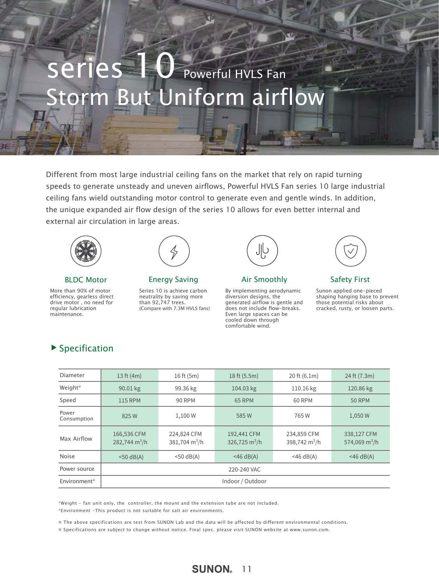# Storm But Uniform airflow Series 10 Powerful HVLS Fan

Different from most large industrial ceiling fans on the market that rely on rapid turning speeds to generate unsteady and uneven airflows, Powerful HVLS Fan series 10 large industrial ceiling fans wield outstanding motor control to generate even and gentle winds. In addition, the unique expanded air flow design of the series 10 allows for even better internal and external air circulation in large areas.



More than 90% of motor efficiency, gearless direct drive motor , no need for regular lubrication maintenance.



BLDC Motor **Energy Saving Same Air Smoothly** Safety First

Series 10 is achieve carbon neutrality by saving more than 92,747 trees. (Compare with 7.3M HVLS fans)



Air Smoothly

By implementing aerodynamic diversion designs, the generated airflow is gentle and does not include flow-breaks. Even large spaces can be cooled down through comfortable wind.



Sunon applied one-pieced shaping hanging base to prevent those potential risks about cracked, rusty, or loosen parts.

| $\blacktriangleright$ Specification |  |
|-------------------------------------|--|
|-------------------------------------|--|

| 13 ft $(4m)$                           | 16 ft (5m)                             | 18 ft (5.5m)                   | 20 ft (6.1m)                   | 24 ft (7.3m)                             |
|----------------------------------------|----------------------------------------|--------------------------------|--------------------------------|------------------------------------------|
| 90.01 kg                               | 99.36 kg                               | 104.03 kg                      | 110.16 kg                      | 120.86 kg                                |
| <b>115 RPM</b>                         | <b>90 RPM</b>                          | 65 RPM                         | 60 RPM                         | <b>50 RPM</b>                            |
| 825W                                   | 1,100 W                                | 585W                           | 765 W                          | 1,050 W                                  |
| 166,536 CFM<br>$282,744 \text{ m}^3/h$ | 224,824 CFM<br>$381,704 \text{ m}^3/h$ | 192,441 CFM<br>326,725 $m^3/h$ | 234,859 CFM<br>398,742 $m^3/h$ | 338,127 CFM<br>574,069 m <sup>3</sup> /h |
| $<$ 50 dB(A)                           | $<$ 50 dB(A)                           | $<$ 46 dB(A)                   | $<$ 46 dB(A)                   | $<$ 46 dB(A)                             |
| 220-240 VAC                            |                                        |                                |                                |                                          |
| Indoor / Outdoor                       |                                        |                                |                                |                                          |
|                                        |                                        |                                |                                |                                          |

\*Weight - fan unit only, the controller, the mount and the extension tube are not included. \*Environment -This product is not suitable for salt air environments.

※ The above specifications are test from SUNON Lab and the data will be affected by different environmental conditions.

※ Specifications are subject to change without notice. Final spec. please visit SUNON website at www.sunon.com.

### **SUNON** 11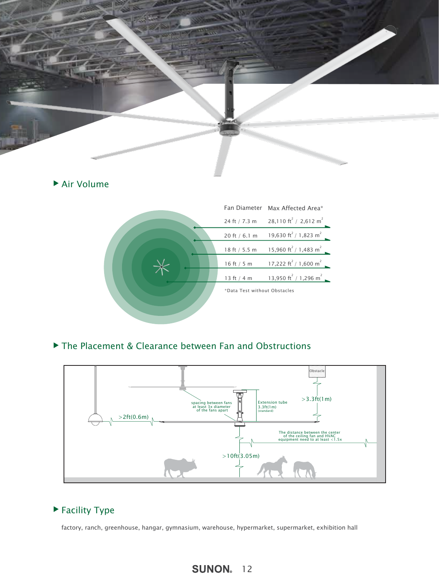

### Air Volume



### ▶ The Placement & Clearance between Fan and Obstructions



### ▶ Facility Type

factory, ranch, greenhouse, hangar, gymnasium, warehouse, hypermarket, supermarket, exhibition hall

### **SUNON** 12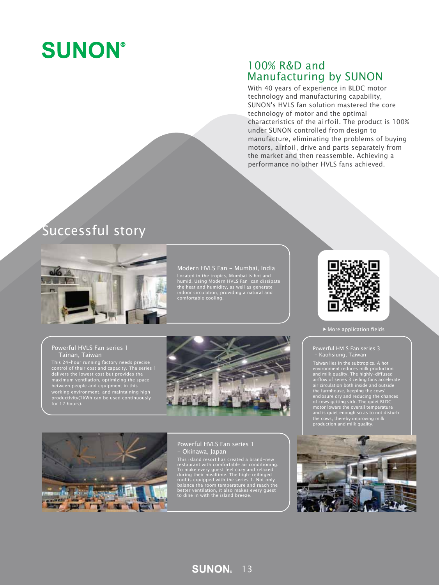

### 100% R&D and Manufacturing by SUNON

With 40 years of experience in BLDC motor technology and manufacturing capability, SUNON's HVLS fan solution mastered the core technology of motor and the optimal characteristics of the airfoil. The product is 100% under SUNON controlled from design to manufacture, eliminating the problems of buying motors, airfoil, drive and parts separately from the market and then reassemble. Achieving a performance no other HVLS fans achieved.

# Successful story



#### Modern HVLS Fan - Mumbai, India

Located in the tropics, Mumbai is hot and humid. Using Modern HVLS Fan can dissipate the heat and humidity, as well as generate indoor circulation, providing a natural and comfortable cooling.

#### Powerful HVLS Fan series 1 - Tainan, Taiwan

This 24–hour running factory needs precise<br>control of their cost and capacity. The series 1<br>delivers the lowest cost but provides the<br>maximum ventilation, optimizing the space<br>between people and equipment in this<br>working e





#### Powerful HVLS Fan series 1 - Okinawa, Japan

This island resort has created a brand-new<br>restaurant with comfortable air conditioning.<br>To make every guest feel cozy and relaxed<br>during their mealtime. The high-ceilinged<br>roof is equipped with the series 1. Not only<br>bala



More application fields

#### Powerful HVLS Fan series 3 - Kaohsiung, Taiwan

Taiwan lies in the subtropics. A hot<br>environment reduces milk production<br>and milk quality. The highly-diffused<br>airflow of series 3 ceiling fans accelerate<br>air circulation both inside and outside<br>the farmhouse, keeping the



**SUNON** 13